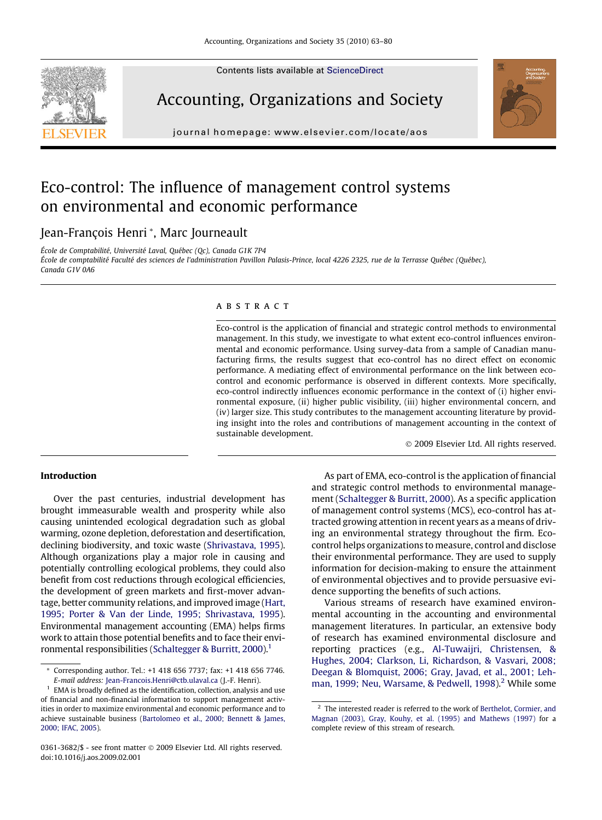Contents lists available at [ScienceDirect](http://www.sciencedirect.com/science/journal/03613682)







journal homepage: [www.elsevier.com/locate/aos](http://www.elsevier.com/locate/aos)

## Eco-control: The influence of management control systems on environmental and economic performance

### Jean-François Henri \*, Marc Journeault

École de Comptabilité, Université Laval, Québec (Qc), Canada G1K 7P4 École de comptabilité Faculté des sciences de l'administration Pavillon Palasis-Prince, local 4226 2325, rue de la Terrasse Québec (Québec), Canada G1V 0A6

#### ABSTRACT

Eco-control is the application of financial and strategic control methods to environmental management. In this study, we investigate to what extent eco-control influences environmental and economic performance. Using survey-data from a sample of Canadian manufacturing firms, the results suggest that eco-control has no direct effect on economic performance. A mediating effect of environmental performance on the link between ecocontrol and economic performance is observed in different contexts. More specifically, eco-control indirectly influences economic performance in the context of (i) higher environmental exposure, (ii) higher public visibility, (iii) higher environmental concern, and (iv) larger size. This study contributes to the management accounting literature by providing insight into the roles and contributions of management accounting in the context of sustainable development.

- 2009 Elsevier Ltd. All rights reserved.

#### Introduction

Over the past centuries, industrial development has brought immeasurable wealth and prosperity while also causing unintended ecological degradation such as global warming, ozone depletion, deforestation and desertification, declining biodiversity, and toxic waste [\(Shrivastava, 1995](#page--1-0)). Although organizations play a major role in causing and potentially controlling ecological problems, they could also benefit from cost reductions through ecological efficiencies, the development of green markets and first-mover advantage, better community relations, and improved image ([Hart,](#page--1-0) [1995; Porter & Van der Linde, 1995; Shrivastava, 1995](#page--1-0)). Environmental management accounting (EMA) helps firms work to attain those potential benefits and to face their envi-ronmental responsibilities ([Schaltegger & Burritt, 2000\)](#page--1-0).<sup>1</sup>

As part of EMA, eco-control is the application of financial and strategic control methods to environmental management ([Schaltegger & Burritt, 2000](#page--1-0)). As a specific application of management control systems (MCS), eco-control has attracted growing attention in recent years as a means of driving an environmental strategy throughout the firm. Ecocontrol helps organizations to measure, control and disclose their environmental performance. They are used to supply information for decision-making to ensure the attainment of environmental objectives and to provide persuasive evidence supporting the benefits of such actions.

Various streams of research have examined environmental accounting in the accounting and environmental management literatures. In particular, an extensive body of research has examined environmental disclosure and reporting practices (e.g., [Al-Tuwaijri, Christensen, &](#page--1-0) [Hughes, 2004; Clarkson, Li, Richardson, & Vasvari, 2008;](#page--1-0) [Deegan & Blomquist, 2006; Gray, Javad, et al., 2001; Leh](#page--1-0)[man, 1999; Neu, Warsame, & Pedwell, 1998](#page--1-0)). $<sup>2</sup>$  While some</sup>

<sup>\*</sup> Corresponding author. Tel.: +1 418 656 7737; fax: +1 418 656 7746. E-mail address: [Jean-Francois.Henri@ctb.ulaval.ca](mailto:Jean-Francois.Henri@ctb.ulaval.ca) (J.-F. Henri).

 $1$  EMA is broadly defined as the identification, collection, analysis and use of financial and non-financial information to support management activities in order to maximize environmental and economic performance and to achieve sustainable business ([Bartolomeo et al., 2000; Bennett & James,](#page--1-0) [2000; IFAC, 2005\)](#page--1-0).

<sup>0361-3682/\$ -</sup> see front matter © 2009 Elsevier Ltd. All rights reserved. doi:10.1016/j.aos.2009.02.001

<sup>&</sup>lt;sup>2</sup> The interested reader is referred to the work of [Berthelot, Cormier, and](#page--1-0) [Magnan \(2003\), Gray, Kouhy, et al. \(1995\) and Mathews \(1997\)](#page--1-0) for a complete review of this stream of research.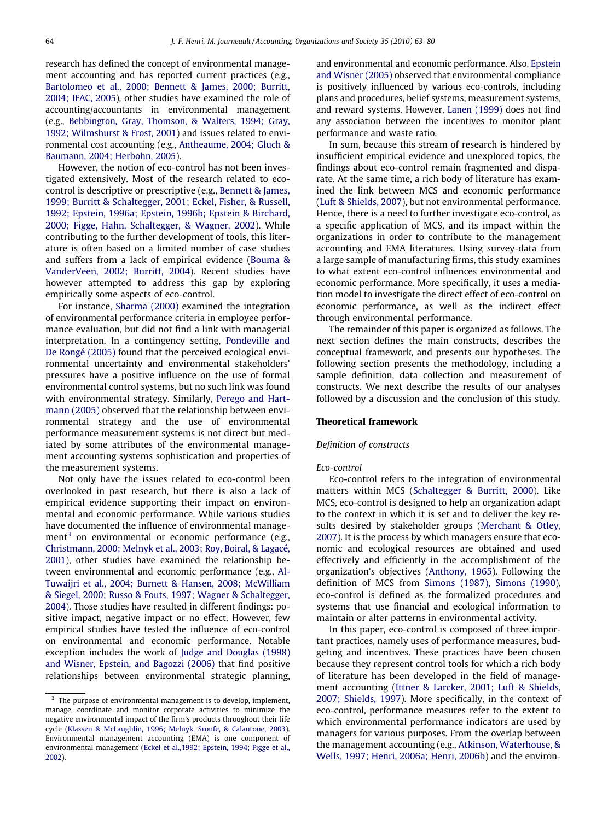research has defined the concept of environmental management accounting and has reported current practices (e.g., [Bartolomeo et al., 2000; Bennett & James, 2000; Burritt,](#page--1-0) [2004; IFAC, 2005\)](#page--1-0), other studies have examined the role of accounting/accountants in environmental management (e.g., [Bebbington, Gray, Thomson, & Walters, 1994; Gray,](#page--1-0) [1992; Wilmshurst & Frost, 2001\)](#page--1-0) and issues related to environmental cost accounting (e.g., [Antheaume, 2004; Gluch &](#page--1-0) [Baumann, 2004; Herbohn, 2005](#page--1-0)).

However, the notion of eco-control has not been investigated extensively. Most of the research related to ecocontrol is descriptive or prescriptive (e.g., [Bennett & James,](#page--1-0) [1999; Burritt & Schaltegger, 2001; Eckel, Fisher, & Russell,](#page--1-0) [1992; Epstein, 1996a; Epstein, 1996b; Epstein & Birchard,](#page--1-0) [2000; Figge, Hahn, Schaltegger, & Wagner, 2002\)](#page--1-0). While contributing to the further development of tools, this literature is often based on a limited number of case studies and suffers from a lack of empirical evidence ([Bouma &](#page--1-0) [VanderVeen, 2002; Burritt, 2004\)](#page--1-0). Recent studies have however attempted to address this gap by exploring empirically some aspects of eco-control.

For instance, [Sharma \(2000\)](#page--1-0) examined the integration of environmental performance criteria in employee performance evaluation, but did not find a link with managerial interpretation. In a contingency setting, [Pondeville and](#page--1-0) [De Rongé \(2005\)](#page--1-0) found that the perceived ecological environmental uncertainty and environmental stakeholders' pressures have a positive influence on the use of formal environmental control systems, but no such link was found with environmental strategy. Similarly, [Perego and Hart](#page--1-0)[mann \(2005\)](#page--1-0) observed that the relationship between environmental strategy and the use of environmental performance measurement systems is not direct but mediated by some attributes of the environmental management accounting systems sophistication and properties of the measurement systems.

Not only have the issues related to eco-control been overlooked in past research, but there is also a lack of empirical evidence supporting their impact on environmental and economic performance. While various studies have documented the influence of environmental management<sup>3</sup> on environmental or economic performance (e.g., [Christmann, 2000; Melnyk et al., 2003; Roy, Boiral, & Lagacé,](#page--1-0) [2001\)](#page--1-0), other studies have examined the relationship between environmental and economic performance (e.g., [Al-](#page--1-0)[Tuwaijri et al., 2004; Burnett & Hansen, 2008; McWilliam](#page--1-0) [& Siegel, 2000; Russo & Fouts, 1997; Wagner & Schaltegger,](#page--1-0) [2004\)](#page--1-0). Those studies have resulted in different findings: positive impact, negative impact or no effect. However, few empirical studies have tested the influence of eco-control on environmental and economic performance. Notable exception includes the work of [Judge and Douglas \(1998\)](#page--1-0) [and Wisner, Epstein, and Bagozzi \(2006\)](#page--1-0) that find positive relationships between environmental strategic planning,

and environmental and economic performance. Also, [Epstein](#page--1-0) [and Wisner \(2005\)](#page--1-0) observed that environmental compliance is positively influenced by various eco-controls, including plans and procedures, belief systems, measurement systems, and reward systems. However, [Lanen \(1999\)](#page--1-0) does not find any association between the incentives to monitor plant performance and waste ratio.

In sum, because this stream of research is hindered by insufficient empirical evidence and unexplored topics, the findings about eco-control remain fragmented and disparate. At the same time, a rich body of literature has examined the link between MCS and economic performance [\(Luft & Shields, 2007\)](#page--1-0), but not environmental performance. Hence, there is a need to further investigate eco-control, as a specific application of MCS, and its impact within the organizations in order to contribute to the management accounting and EMA literatures. Using survey-data from a large sample of manufacturing firms, this study examines to what extent eco-control influences environmental and economic performance. More specifically, it uses a mediation model to investigate the direct effect of eco-control on economic performance, as well as the indirect effect through environmental performance.

The remainder of this paper is organized as follows. The next section defines the main constructs, describes the conceptual framework, and presents our hypotheses. The following section presents the methodology, including a sample definition, data collection and measurement of constructs. We next describe the results of our analyses followed by a discussion and the conclusion of this study.

#### Theoretical framework

#### Definition of constructs

#### Eco-control

Eco-control refers to the integration of environmental matters within MCS ([Schaltegger & Burritt, 2000\)](#page--1-0). Like MCS, eco-control is designed to help an organization adapt to the context in which it is set and to deliver the key results desired by stakeholder groups ([Merchant & Otley,](#page--1-0) [2007](#page--1-0)). It is the process by which managers ensure that economic and ecological resources are obtained and used effectively and efficiently in the accomplishment of the organization's objectives [\(Anthony, 1965](#page--1-0)). Following the definition of MCS from [Simons \(1987\), Simons \(1990\),](#page--1-0) eco-control is defined as the formalized procedures and systems that use financial and ecological information to maintain or alter patterns in environmental activity.

In this paper, eco-control is composed of three important practices, namely uses of performance measures, budgeting and incentives. These practices have been chosen because they represent control tools for which a rich body of literature has been developed in the field of management accounting ([Ittner & Larcker, 2001; Luft & Shields,](#page--1-0) [2007; Shields, 1997\)](#page--1-0). More specifically, in the context of eco-control, performance measures refer to the extent to which environmental performance indicators are used by managers for various purposes. From the overlap between the management accounting (e.g., [Atkinson, Waterhouse, &](#page--1-0) [Wells, 1997; Henri, 2006a; Henri, 2006b\)](#page--1-0) and the environ-

<sup>&</sup>lt;sup>3</sup> The purpose of environmental management is to develop, implement, manage, coordinate and monitor corporate activities to minimize the negative environmental impact of the firm's products throughout their life cycle [\(Klassen & McLaughlin, 1996; Melnyk, Sroufe, & Calantone, 2003](#page--1-0)). Environmental management accounting (EMA) is one component of environmental management [\(Eckel et al.,1992; Epstein, 1994; Figge et al.,](#page--1-0) [2002\)](#page--1-0).